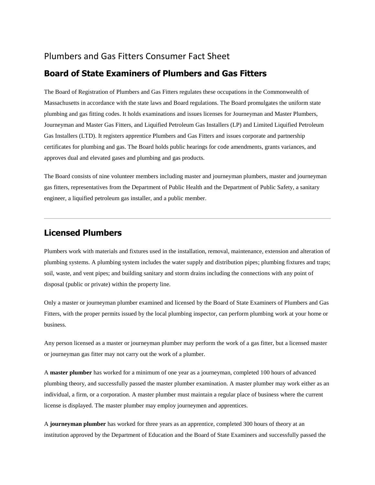### Plumbers and Gas Fitters Consumer Fact Sheet

#### **Board of State Examiners of Plumbers and Gas Fitters**

The Board of Registration of Plumbers and Gas Fitters regulates these occupations in the Commonwealth of Massachusetts in accordance with the state laws and Board regulations. The Board promulgates the uniform state plumbing and gas fitting codes. It holds examinations and issues licenses for Journeyman and Master Plumbers, Journeyman and Master Gas Fitters, and Liquified Petroleum Gas Installers (LP) and Limited Liquified Petroleum Gas Installers (LTD). It registers apprentice Plumbers and Gas Fitters and issues corporate and partnership certificates for plumbing and gas. The Board holds public hearings for code amendments, grants variances, and approves dual and elevated gases and plumbing and gas products.

The Board consists of nine volunteer members including master and journeyman plumbers, master and journeyman gas fitters, representatives from the Department of Public Health and the Department of Public Safety, a sanitary engineer, a liquified petroleum gas installer, and a public member.

## **Licensed Plumbers**

Plumbers work with materials and fixtures used in the installation, removal, maintenance, extension and alteration of plumbing systems. A plumbing system includes the water supply and distribution pipes; plumbing fixtures and traps; soil, waste, and vent pipes; and building sanitary and storm drains including the connections with any point of disposal (public or private) within the property line.

Only a master or journeyman plumber examined and licensed by the Board of State Examiners of Plumbers and Gas Fitters, with the proper permits issued by the local plumbing inspector, can perform plumbing work at your home or business.

Any person licensed as a master or journeyman plumber may perform the work of a gas fitter, but a licensed master or journeyman gas fitter may not carry out the work of a plumber.

A **master plumber** has worked for a minimum of one year as a journeyman, completed 100 hours of advanced plumbing theory, and successfully passed the master plumber examination. A master plumber may work either as an individual, a firm, or a corporation. A master plumber must maintain a regular place of business where the current license is displayed. The master plumber may employ journeymen and apprentices.

A **journeyman plumber** has worked for three years as an apprentice, completed 300 hours of theory at an institution approved by the Department of Education and the Board of State Examiners and successfully passed the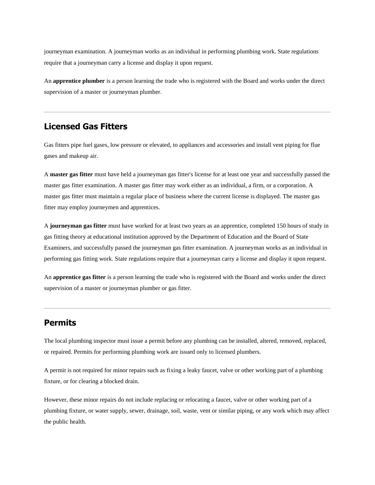journeyman examination. A journeyman works as an individual in performing plumbing work. State regulations require that a journeyman carry a license and display it upon request.

An **apprentice plumber** is a person learning the trade who is registered with the Board and works under the direct supervision of a master or journeyman plumber.

## **Licensed Gas Fitters**

Gas fitters pipe fuel gases, low pressure or elevated, to appliances and accessories and install vent piping for flue gases and makeup air.

A **master gas fitter** must have held a journeyman gas fitter's license for at least one year and successfully passed the master gas fitter examination. A master gas fitter may work either as an individual, a firm, or a corporation. A master gas fitter must maintain a regular place of business where the current license is displayed. The master gas fitter may employ journeymen and apprentices.

A **journeyman gas fitter** must have worked for at least two years as an apprentice, completed 150 hours of study in gas fitting theory at educational institution approved by the Department of Education and the Board of State Examiners, and successfully passed the journeyman gas fitter examination. A journeyman works as an individual in performing gas fitting work. State regulations require that a journeyman carry a license and display it upon request.

An **apprentice gas fitter** is a person learning the trade who is registered with the Board and works under the direct supervision of a master or journeyman plumber or gas fitter.

#### **Permits**

The local plumbing inspector must issue a permit before any plumbing can be installed, altered, removed, replaced, or repaired. Permits for performing plumbing work are issued only to licensed plumbers.

A permit is not required for minor repairs such as fixing a leaky faucet, valve or other working part of a plumbing fixture, or for clearing a blocked drain.

However, these minor repairs do not include replacing or relocating a faucet, valve or other working part of a plumbing fixture, or water supply, sewer, drainage, soil, waste, vent or similar piping, or any work which may affect the public health.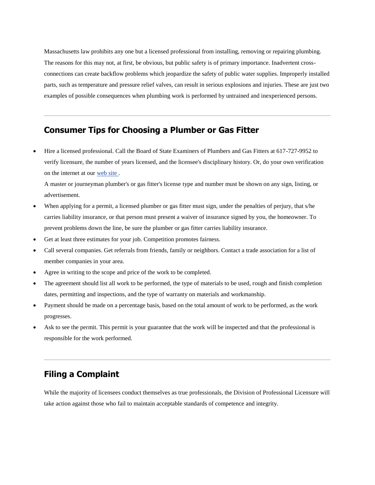Massachusetts law prohibits any one but a licensed professional from installing, removing or repairing plumbing. The reasons for this may not, at first, be obvious, but public safety is of primary importance. Inadvertent crossconnections can create backflow problems which jeopardize the safety of public water supplies. Improperly installed parts, such as temperature and pressure relief valves, can result in serious explosions and injuries. These are just two examples of possible consequences when plumbing work is performed by untrained and inexperienced persons.

#### **Consumer Tips for Choosing a Plumber or Gas Fitter**

 Hire a licensed professional. Call the Board of State Examiners of Plumbers and Gas Fitters at 617-727-9952 to verify licensure, the number of years licensed, and the licensee's disciplinary history. Or, do your own verification on the internet at our [web site .](https://elicensing.state.ma.us/CitizenAccess/)

A master or journeyman plumber's or gas fitter's license type and number must be shown on any sign, listing, or advertisement.

- When applying for a permit, a licensed plumber or gas fitter must sign, under the penalties of perjury, that s/he carries liability insurance, or that person must present a waiver of insurance signed by you, the homeowner. To prevent problems down the line, be sure the plumber or gas fitter carries liability insurance.
- Get at least three estimates for your job. Competition promotes fairness.
- Call several companies. Get referrals from friends, family or neighbors. Contact a trade association for a list of member companies in your area.
- Agree in writing to the scope and price of the work to be completed.
- The agreement should list all work to be performed, the type of materials to be used, rough and finish completion dates, permitting and inspections, and the type of warranty on materials and workmanship.
- Payment should be made on a percentage basis, based on the total amount of work to be performed, as the work progresses.
- Ask to see the permit. This permit is your guarantee that the work will be inspected and that the professional is responsible for the work performed.

## **Filing a Complaint**

While the majority of licensees conduct themselves as true professionals, the Division of Professional Licensure will take action against those who fail to maintain acceptable standards of competence and integrity.